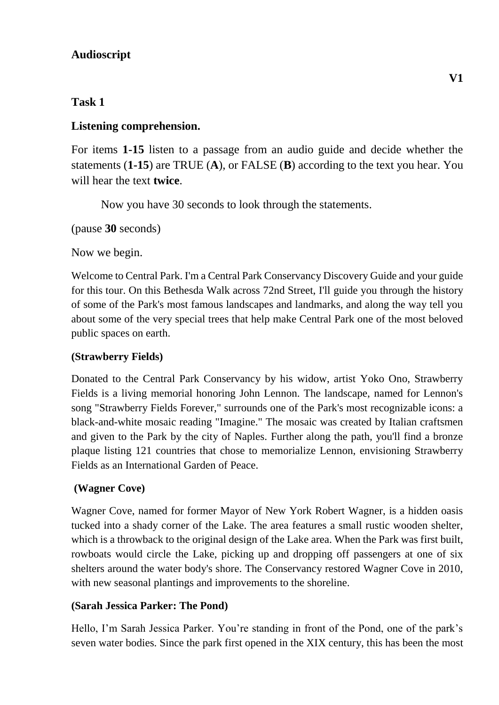## **Audioscript**

# **Task 1**

## **Listening comprehension.**

For items **1-15** listen to a passage from an audio guide and decide whether the statements (**1-15**) are TRUE (**A**), or FALSE (**B**) according to the text you hear. You will hear the text **twice**.

Now you have 30 seconds to look through the statements.

(pause **30** seconds)

Now we begin.

Welcome to Central Park. I'm a Central Park Conservancy Discovery Guide and your guide for this tour. On this Bethesda Walk across 72nd Street, I'll guide you through the history of some of the Park's most famous landscapes and landmarks, and along the way tell you about some of the very special trees that help make Central Park one of the most beloved public spaces on earth.

## **(Strawberry Fields)**

Donated to the Central Park Conservancy by his widow, artist Yoko Ono, Strawberry Fields is a living memorial honoring John Lennon. The landscape, named for Lennon's song "Strawberry Fields Forever," surrounds one of the Park's most recognizable icons: a black-and-white mosaic reading "Imagine." The mosaic was created by Italian craftsmen and given to the Park by the city of Naples. Further along the path, you'll find a bronze plaque listing 121 countries that chose to memorialize Lennon, envisioning Strawberry Fields as an International Garden of Peace.

## **(Wagner Cove)**

Wagner Cove, named for former Mayor of New York Robert Wagner, is a hidden oasis tucked into a shady corner of the Lake. The area features a small rustic wooden shelter, which is a throwback to the original design of the Lake area. When the Park was first built, rowboats would circle the Lake, picking up and dropping off passengers at one of six shelters around the water body's shore. The Conservancy restored Wagner Cove in 2010, with new seasonal plantings and improvements to the shoreline.

### **(Sarah Jessica Parker: The Pond)**

Hello, I'm Sarah Jessica Parker. You're standing in front of the Pond, one of the park's seven water bodies. Since the park first opened in the XIX century, this has been the most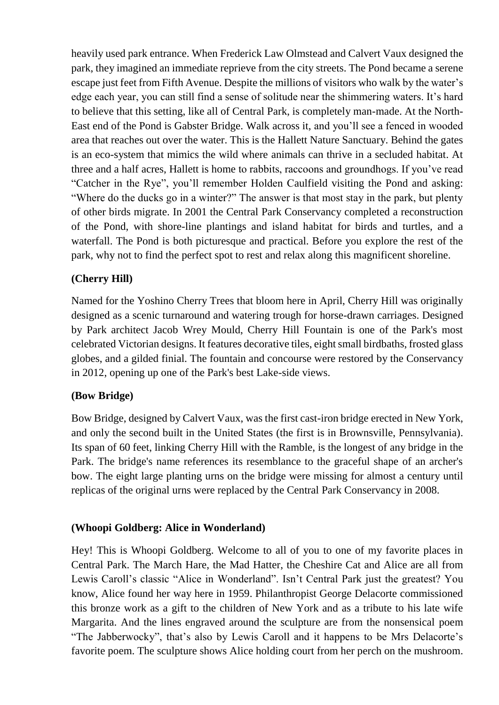heavily used park entrance. When Frederick Law Olmstead and Calvert Vaux designed the park, they imagined an immediate reprieve from the city streets. The Pond became a serene escape just feet from Fifth Avenue. Despite the millions of visitors who walk by the water's edge each year, you can still find a sense of solitude near the shimmering waters. It's hard to believe that this setting, like all of Central Park, is completely man-made. At the North-East end of the Pond is Gabster Bridge. Walk across it, and you'll see a fenced in wooded area that reaches out over the water. This is the Hallett Nature Sanctuary. Behind the gates is an eco-system that mimics the wild where animals can thrive in a secluded habitat. At three and a half acres, Hallett is home to rabbits, raccoons and groundhogs. If you've read "Catcher in the Rye", you'll remember Holden Caulfield visiting the Pond and asking: "Where do the ducks go in a winter?" The answer is that most stay in the park, but plenty of other birds migrate. In 2001 the Central Park Conservancy completed a reconstruction of the Pond, with shore-line plantings and island habitat for birds and turtles, and a waterfall. The Pond is both picturesque and practical. Before you explore the rest of the park, why not to find the perfect spot to rest and relax along this magnificent shoreline.

### **(Cherry Hill)**

Named for the Yoshino Cherry Trees that bloom here in April, Cherry Hill was originally designed as a scenic turnaround and watering trough for horse-drawn carriages. Designed by Park architect Jacob Wrey Mould, Cherry Hill Fountain is one of the Park's most celebrated Victorian designs. It features decorative tiles, eight small birdbaths, frosted glass globes, and a gilded finial. The fountain and concourse were restored by the Conservancy in 2012, opening up one of the Park's best Lake-side views.

### **(Bow Bridge)**

Bow Bridge, designed by Calvert Vaux, was the first cast-iron bridge erected in New York, and only the second built in the United States (the first is in Brownsville, Pennsylvania). Its span of 60 feet, linking Cherry Hill with the Ramble, is the longest of any bridge in the Park. The bridge's name references its resemblance to the graceful shape of an archer's bow. The eight large planting urns on the bridge were missing for almost a century until replicas of the original urns were replaced by the Central Park Conservancy in 2008.

### **(Whoopi Goldberg: Alice in Wonderland)**

Hey! This is Whoopi Goldberg. Welcome to all of you to one of my favorite places in Central Park. The March Hare, the Mad Hatter, the Cheshire Cat and Alice are all from Lewis Caroll's classic "Alice in Wonderland". Isn't Central Park just the greatest? You know, Alice found her way here in 1959. Philanthropist George Delacorte commissioned this bronze work as a gift to the children of New York and as a tribute to his late wife Margarita. And the lines engraved around the sculpture are from the nonsensical poem "The Jabberwocky", that's also by Lewis Caroll and it happens to be Mrs Delacorte's favorite poem. The sculpture shows Alice holding court from her perch on the mushroom.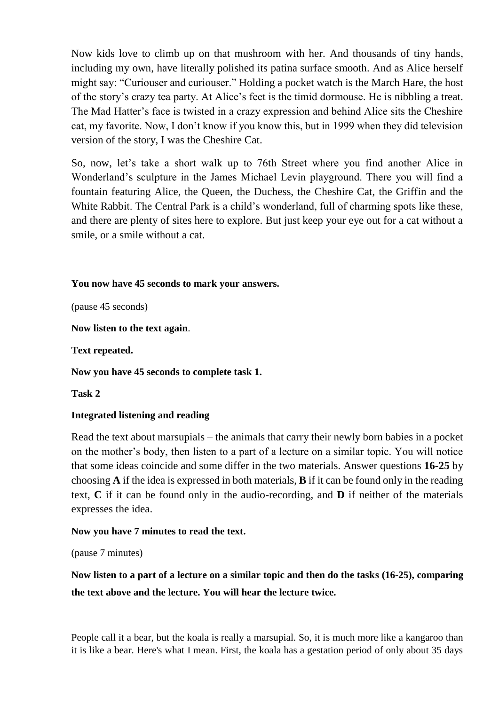Now kids love to climb up on that mushroom with her. And thousands of tiny hands, including my own, have literally polished its patina surface smooth. And as Alice herself might say: "Curiouser and curiouser." Holding a pocket watch is the March Hare, the host of the story's crazy tea party. At Alice's feet is the timid dormouse. He is nibbling a treat. The Mad Hatter's face is twisted in a crazy expression and behind Alice sits the Cheshire cat, my favorite. Now, I don't know if you know this, but in 1999 when they did television version of the story, I was the Cheshire Cat.

So, now, let's take a short walk up to 76th Street where you find another Alice in Wonderland's sculpture in the James Michael Levin playground. There you will find a fountain featuring Alice, the Queen, the Duchess, the Cheshire Cat, the Griffin and the White Rabbit. The Central Park is a child's wonderland, full of charming spots like these, and there are plenty of sites here to explore. But just keep your eye out for a cat without a smile, or a smile without a cat.

### **You now have 45 seconds to mark your answers.**

(pause 45 seconds)

**Now listen to the text again**.

**Text repeated.**

**Now you have 45 seconds to complete task 1.**

**Task 2**

#### **Integrated listening and reading**

Read the text about marsupials – the animals that carry their newly born babies in a pocket on the mother's body, then listen to a part of a lecture on a similar topic. You will notice that some ideas coincide and some differ in the two materials. Answer questions **16-25** by choosing **A** if the idea is expressed in both materials, **B** if it can be found only in the reading text, **C** if it can be found only in the audio-recording, and **D** if neither of the materials expresses the idea.

#### **Now you have 7 minutes to read the text.**

(pause 7 minutes)

**Now listen to a part of a lecture on a similar topic and then do the tasks (16-25), comparing the text above and the lecture. You will hear the lecture twice.**

People call it a bear, but the koala is really a marsupial. So, it is much more like a kangaroo than it is like a bear. Here's what I mean. First, the koala has a gestation period of only about 35 days